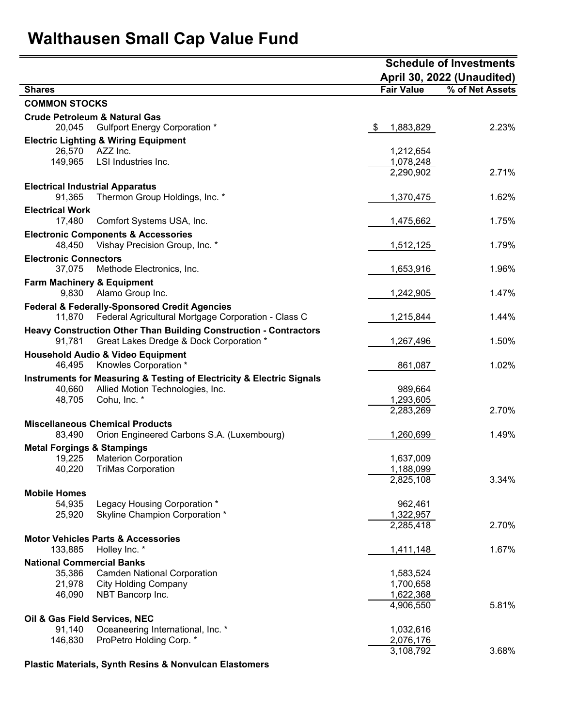## Walthausen Small Cap Value Fund

|                                                                                                |                        | <b>Schedule of Investments</b> |  |  |  |
|------------------------------------------------------------------------------------------------|------------------------|--------------------------------|--|--|--|
|                                                                                                |                        | April 30, 2022 (Unaudited)     |  |  |  |
| <b>Shares</b>                                                                                  | <b>Fair Value</b>      | % of Net Assets                |  |  |  |
| <b>COMMON STOCKS</b>                                                                           |                        |                                |  |  |  |
| <b>Crude Petroleum &amp; Natural Gas</b>                                                       |                        |                                |  |  |  |
| <b>Gulfport Energy Corporation *</b><br>20,045                                                 | 1,883,829<br>\$        | 2.23%                          |  |  |  |
| <b>Electric Lighting &amp; Wiring Equipment</b>                                                |                        |                                |  |  |  |
| AZZ Inc.<br>26,570                                                                             | 1,212,654              |                                |  |  |  |
| 149,965<br>LSI Industries Inc.                                                                 | 1,078,248              |                                |  |  |  |
|                                                                                                | 2,290,902              | 2.71%                          |  |  |  |
| <b>Electrical Industrial Apparatus</b>                                                         |                        |                                |  |  |  |
| Thermon Group Holdings, Inc. *<br>91,365                                                       | 1,370,475              | 1.62%                          |  |  |  |
| <b>Electrical Work</b>                                                                         |                        |                                |  |  |  |
| 17,480<br>Comfort Systems USA, Inc.                                                            | 1,475,662              | 1.75%                          |  |  |  |
| <b>Electronic Components &amp; Accessories</b>                                                 |                        |                                |  |  |  |
| Vishay Precision Group, Inc. *<br>48,450                                                       | 1,512,125              | 1.79%                          |  |  |  |
| <b>Electronic Connectors</b>                                                                   |                        |                                |  |  |  |
| Methode Electronics, Inc.<br>37,075                                                            | 1,653,916              | 1.96%                          |  |  |  |
| <b>Farm Machinery &amp; Equipment</b>                                                          |                        |                                |  |  |  |
| Alamo Group Inc.<br>9,830                                                                      | 1,242,905              | 1.47%                          |  |  |  |
| <b>Federal &amp; Federally-Sponsored Credit Agencies</b>                                       |                        |                                |  |  |  |
| Federal Agricultural Mortgage Corporation - Class C<br>11.870                                  | 1,215,844              | 1.44%                          |  |  |  |
| <b>Heavy Construction Other Than Building Construction - Contractors</b>                       |                        |                                |  |  |  |
| 91,781<br>Great Lakes Dredge & Dock Corporation *                                              | 1,267,496              | 1.50%                          |  |  |  |
| <b>Household Audio &amp; Video Equipment</b>                                                   |                        |                                |  |  |  |
| 46,495<br>Knowles Corporation *                                                                | 861,087                | 1.02%                          |  |  |  |
| <b>Instruments for Measuring &amp; Testing of Electricity &amp; Electric Signals</b>           |                        |                                |  |  |  |
| Allied Motion Technologies, Inc.<br>40,660                                                     | 989,664                |                                |  |  |  |
| Cohu, Inc. *<br>48,705                                                                         | 1,293,605<br>2,283,269 | 2.70%                          |  |  |  |
|                                                                                                |                        |                                |  |  |  |
| <b>Miscellaneous Chemical Products</b><br>Orion Engineered Carbons S.A. (Luxembourg)<br>83,490 | 1,260,699              | 1.49%                          |  |  |  |
|                                                                                                |                        |                                |  |  |  |
| <b>Metal Forgings &amp; Stampings</b><br><b>Materion Corporation</b><br>19,225                 | 1,637,009              |                                |  |  |  |
| 40,220 TriMas Corporation                                                                      | 1,188,099              |                                |  |  |  |
|                                                                                                | 2,825,108              | 3.34%                          |  |  |  |
| <b>Mobile Homes</b>                                                                            |                        |                                |  |  |  |
| Legacy Housing Corporation *<br>54,935                                                         | 962,461                |                                |  |  |  |
| Skyline Champion Corporation *<br>25,920                                                       | 1,322,957              |                                |  |  |  |
|                                                                                                | 2,285,418              | 2.70%                          |  |  |  |
| <b>Motor Vehicles Parts &amp; Accessories</b>                                                  |                        |                                |  |  |  |
| 133,885<br>Holley Inc. *                                                                       | 1,411,148              | 1.67%                          |  |  |  |
| <b>National Commercial Banks</b>                                                               |                        |                                |  |  |  |
| <b>Camden National Corporation</b><br>35,386                                                   | 1,583,524              |                                |  |  |  |
| 21,978<br><b>City Holding Company</b>                                                          | 1,700,658              |                                |  |  |  |
| 46,090<br>NBT Bancorp Inc.                                                                     | 1,622,368              |                                |  |  |  |
|                                                                                                | 4,906,550              | 5.81%                          |  |  |  |
| Oil & Gas Field Services, NEC                                                                  |                        |                                |  |  |  |
| Oceaneering International, Inc. *<br>91,140                                                    | 1,032,616              |                                |  |  |  |
| ProPetro Holding Corp. *<br>146,830                                                            | 2,076,176<br>3,108,792 | 3.68%                          |  |  |  |
|                                                                                                |                        |                                |  |  |  |
| <b>Plastic Materials, Synth Resins &amp; Nonvulcan Elastomers</b>                              |                        |                                |  |  |  |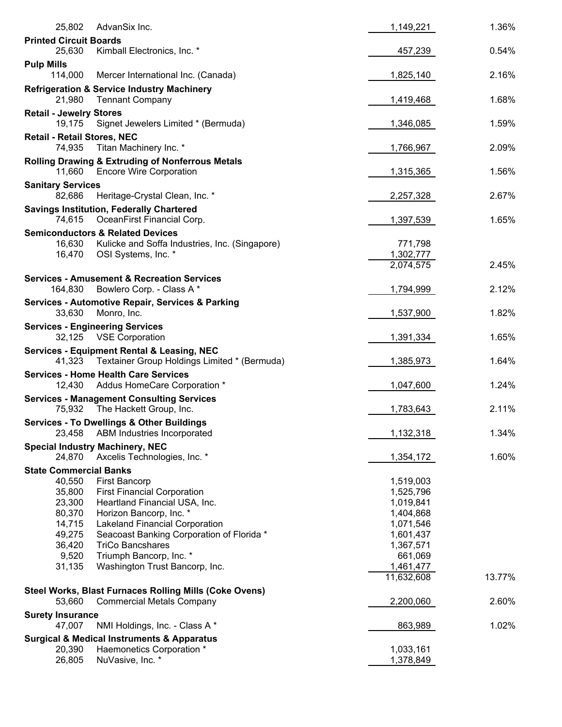| 25,802                                       | AdvanSix Inc.                                                                 | 1,149,221              | 1.36%  |
|----------------------------------------------|-------------------------------------------------------------------------------|------------------------|--------|
| <b>Printed Circuit Boards</b>                |                                                                               |                        |        |
| 25,630                                       | Kimball Electronics, Inc. *                                                   | 457,239                | 0.54%  |
| <b>Pulp Mills</b><br>114,000                 | Mercer International Inc. (Canada)                                            | 1,825,140              | 2.16%  |
|                                              | <b>Refrigeration &amp; Service Industry Machinery</b>                         |                        |        |
| 21,980                                       | <b>Tennant Company</b>                                                        | 1,419,468              | 1.68%  |
| <b>Retail - Jewelry Stores</b>               |                                                                               |                        |        |
| 19,175                                       | Signet Jewelers Limited * (Bermuda)                                           | 1,346,085              | 1.59%  |
| <b>Retail - Retail Stores, NEC</b><br>74,935 | Titan Machinery Inc. *                                                        | 1,766,967              | 2.09%  |
|                                              | <b>Rolling Drawing &amp; Extruding of Nonferrous Metals</b>                   |                        |        |
| 11,660                                       | <b>Encore Wire Corporation</b>                                                | 1,315,365              | 1.56%  |
| <b>Sanitary Services</b>                     |                                                                               |                        |        |
| 82,686                                       | Heritage-Crystal Clean, Inc. *                                                | 2,257,328              | 2.67%  |
| 74,615                                       | <b>Savings Institution, Federally Chartered</b><br>OceanFirst Financial Corp. | 1,397,539              | 1.65%  |
|                                              | <b>Semiconductors &amp; Related Devices</b>                                   |                        |        |
| 16,630                                       | Kulicke and Soffa Industries, Inc. (Singapore)                                | 771,798                |        |
| 16,470                                       | OSI Systems, Inc. *                                                           | 1,302,777<br>2,074,575 | 2.45%  |
|                                              | <b>Services - Amusement &amp; Recreation Services</b>                         |                        |        |
| 164,830                                      | Bowlero Corp. - Class A*                                                      | 1,794,999              | 2.12%  |
|                                              | <b>Services - Automotive Repair, Services &amp; Parking</b>                   |                        |        |
| 33,630                                       | Monro, Inc.                                                                   | 1,537,900              | 1.82%  |
| 32,125                                       | <b>Services - Engineering Services</b><br><b>VSE Corporation</b>              | 1,391,334              | 1.65%  |
|                                              | <b>Services - Equipment Rental &amp; Leasing, NEC</b>                         |                        |        |
| 41,323                                       | Textainer Group Holdings Limited * (Bermuda)                                  | 1,385,973              | 1.64%  |
|                                              | <b>Services - Home Health Care Services</b>                                   |                        |        |
| 12,430                                       | Addus HomeCare Corporation *                                                  | 1,047,600              | 1.24%  |
| 75,932                                       | <b>Services - Management Consulting Services</b><br>The Hackett Group, Inc.   | 1,783,643              | 2.11%  |
|                                              | <b>Services - To Dwellings &amp; Other Buildings</b>                          |                        |        |
|                                              | 23,458 ABM Industries Incorporated                                            | 1,132,318              | 1.34%  |
|                                              | <b>Special Industry Machinery, NEC</b>                                        |                        |        |
| 24,870                                       | Axcelis Technologies, Inc. *                                                  | 1,354,172              | 1.60%  |
| <b>State Commercial Banks</b><br>40,550      | <b>First Bancorp</b>                                                          | 1,519,003              |        |
| 35,800                                       | <b>First Financial Corporation</b>                                            | 1,525,796              |        |
| 23,300                                       | Heartland Financial USA, Inc.                                                 | 1,019,841              |        |
| 80,370                                       | Horizon Bancorp, Inc. *                                                       | 1,404,868              |        |
| 14,715                                       |                                                                               |                        |        |
|                                              | <b>Lakeland Financial Corporation</b>                                         | 1,071,546              |        |
| 49,275                                       | Seacoast Banking Corporation of Florida *                                     | 1,601,437              |        |
| 36,420                                       | <b>TriCo Bancshares</b>                                                       | 1,367,571              |        |
| 9,520                                        | Triumph Bancorp, Inc. *                                                       | 661,069                |        |
| 31,135                                       | Washington Trust Bancorp, Inc.                                                | 1,461,477              |        |
|                                              |                                                                               | 11,632,608             | 13.77% |
|                                              | <b>Steel Works, Blast Furnaces Rolling Mills (Coke Ovens)</b>                 |                        |        |
| 53,660                                       | <b>Commercial Metals Company</b>                                              | 2,200,060              | 2.60%  |
| <b>Surety Insurance</b>                      |                                                                               |                        |        |
| 47,007                                       | NMI Holdings, Inc. - Class A *                                                | 863,989                | 1.02%  |
|                                              | <b>Surgical &amp; Medical Instruments &amp; Apparatus</b>                     |                        |        |
| 20,390<br>26,805                             | Haemonetics Corporation *<br>NuVasive, Inc. *                                 | 1,033,161<br>1,378,849 |        |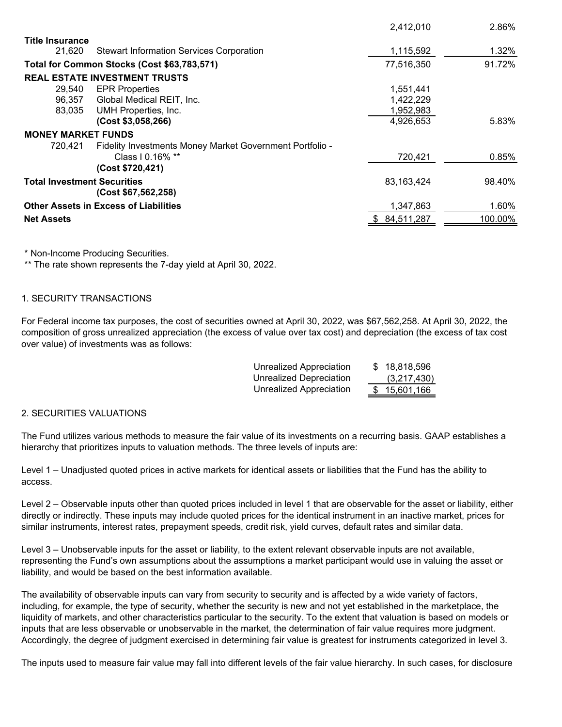|                                    |                                                          | 2,412,010        | 2.86%   |
|------------------------------------|----------------------------------------------------------|------------------|---------|
| <b>Title Insurance</b>             |                                                          |                  |         |
| 21.620                             | <b>Stewart Information Services Corporation</b>          | 1,115,592        | 1.32%   |
|                                    | Total for Common Stocks (Cost \$63,783,571)              | 77,516,350       | 91.72%  |
|                                    | <b>REAL ESTATE INVESTMENT TRUSTS</b>                     |                  |         |
| 29.540                             | <b>EPR Properties</b>                                    | 1,551,441        |         |
| 96,357                             | Global Medical REIT, Inc.                                | 1,422,229        |         |
| 83.035                             | UMH Properties, Inc.                                     | 1,952,983        |         |
|                                    | (Cost \$3,058,266)                                       | 4,926,653        | 5.83%   |
| <b>MONEY MARKET FUNDS</b>          |                                                          |                  |         |
| 720.421                            | Fidelity Investments Money Market Government Portfolio - |                  |         |
|                                    | Class   0.16% **                                         | 720,421          | 0.85%   |
|                                    | (Cost \$720,421)                                         |                  |         |
| <b>Total Investment Securities</b> |                                                          | 83,163,424       | 98.40%  |
|                                    | (Cost \$67,562,258)                                      |                  |         |
|                                    | <b>Other Assets in Excess of Liabilities</b>             | 1,347,863        | 1.60%   |
| <b>Net Assets</b>                  |                                                          | 84,511,287<br>\$ | 100.00% |

\* Non-Income Producing Securities.

\*\* The rate shown represents the 7-day yield at April 30, 2022.

## 1. SECURITY TRANSACTIONS

For Federal income tax purposes, the cost of securities owned at April 30, 2022, was \$67,562,258. At April 30, 2022, the composition of gross unrealized appreciation (the excess of value over tax cost) and depreciation (the excess of tax cost over value) of investments was as follows:

| <b>Unrealized Appreciation</b> | \$18,818,596     |
|--------------------------------|------------------|
| Unrealized Depreciation        | (3,217,430)      |
| Unrealized Appreciation        | 15,601,166<br>S. |

## 2. SECURITIES VALUATIONS

The Fund utilizes various methods to measure the fair value of its investments on a recurring basis. GAAP establishes a hierarchy that prioritizes inputs to valuation methods. The three levels of inputs are:

Level 1 – Unadjusted quoted prices in active markets for identical assets or liabilities that the Fund has the ability to access.

Level 2 – Observable inputs other than quoted prices included in level 1 that are observable for the asset or liability, either directly or indirectly. These inputs may include quoted prices for the identical instrument in an inactive market, prices for similar instruments, interest rates, prepayment speeds, credit risk, yield curves, default rates and similar data.

Level 3 – Unobservable inputs for the asset or liability, to the extent relevant observable inputs are not available, representing the Fund's own assumptions about the assumptions a market participant would use in valuing the asset or liability, and would be based on the best information available.

The availability of observable inputs can vary from security to security and is affected by a wide variety of factors, including, for example, the type of security, whether the security is new and not yet established in the marketplace, the liquidity of markets, and other characteristics particular to the security. To the extent that valuation is based on models or inputs that are less observable or unobservable in the market, the determination of fair value requires more judgment. Accordingly, the degree of judgment exercised in determining fair value is greatest for instruments categorized in level 3.

The inputs used to measure fair value may fall into different levels of the fair value hierarchy. In such cases, for disclosure